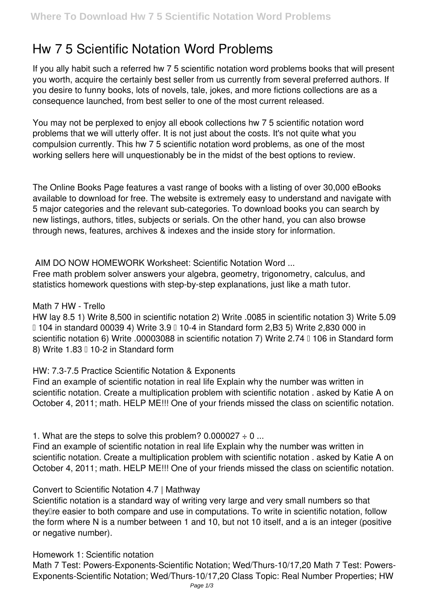# **Hw 7 5 Scientific Notation Word Problems**

If you ally habit such a referred **hw 7 5 scientific notation word problems** books that will present you worth, acquire the certainly best seller from us currently from several preferred authors. If you desire to funny books, lots of novels, tale, jokes, and more fictions collections are as a consequence launched, from best seller to one of the most current released.

You may not be perplexed to enjoy all ebook collections hw 7 5 scientific notation word problems that we will utterly offer. It is not just about the costs. It's not quite what you compulsion currently. This hw 7 5 scientific notation word problems, as one of the most working sellers here will unquestionably be in the midst of the best options to review.

The Online Books Page features a vast range of books with a listing of over 30,000 eBooks available to download for free. The website is extremely easy to understand and navigate with 5 major categories and the relevant sub-categories. To download books you can search by new listings, authors, titles, subjects or serials. On the other hand, you can also browse through news, features, archives & indexes and the inside story for information.

**AIM DO NOW HOMEWORK Worksheet: Scientific Notation Word ...**

Free math problem solver answers your algebra, geometry, trigonometry, calculus, and statistics homework questions with step-by-step explanations, just like a math tutor.

# **Math 7 HW - Trello**

HW lay 8.5 1) Write 8,500 in scientific notation 2) Write .0085 in scientific notation 3) Write 5.09 • 104 in standard 00039 4) Write 3.9 • 10-4 in Standard form 2,B3 5) Write 2,830 000 in scientific notation 6) Write .00003088 in scientific notation 7) Write 2.74  $\text{I}$  106 in Standard form 8) Write  $1.83 \square 10-2$  in Standard form

# **HW: 7.3-7.5 Practice Scientific Notation & Exponents**

Find an example of scientific notation in real life Explain why the number was written in scientific notation. Create a multiplication problem with scientific notation . asked by Katie A on October 4, 2011; math. HELP ME!!! One of your friends missed the class on scientific notation.

**1. What are the steps to solve this problem? 0.000027 ÷ 0 ...**

Find an example of scientific notation in real life Explain why the number was written in scientific notation. Create a multiplication problem with scientific notation . asked by Katie A on October 4, 2011; math. HELP ME!!! One of your friends missed the class on scientific notation.

# **Convert to Scientific Notation 4.7 | Mathway**

Scientific notation is a standard way of writing very large and very small numbers so that theyllre easier to both compare and use in computations. To write in scientific notation, follow the form where N is a number between 1 and 10, but not 10 itself, and a is an integer (positive or negative number).

# **Homework 1: Scientific notation**

Math 7 Test: Powers-Exponents-Scientific Notation; Wed/Thurs-10/17,20 Math 7 Test: Powers-Exponents-Scientific Notation; Wed/Thurs-10/17,20 Class Topic: Real Number Properties; HW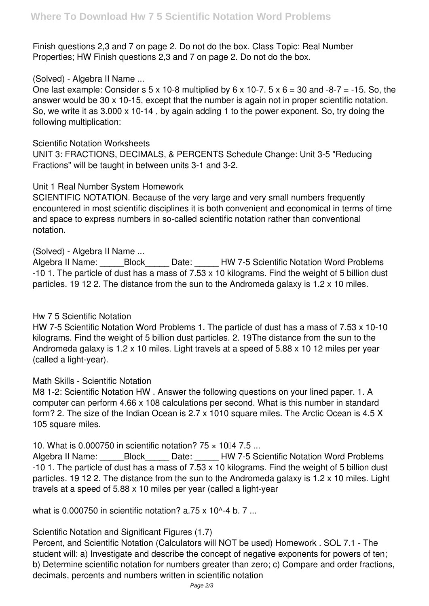Finish questions 2,3 and 7 on page 2. Do not do the box. Class Topic: Real Number Properties; HW Finish questions 2,3 and 7 on page 2. Do not do the box.

# **(Solved) - Algebra II Name ...**

One last example: Consider s  $5 \times 10{-}8$  multiplied by  $6 \times 10{-}7$ .  $5 \times 6 = 30$  and  $-8{-}7 = -15$ . So, the answer would be 30 x 10-15, except that the number is again not in proper scientific notation. So, we write it as 3.000 x 10-14 , by again adding 1 to the power exponent. So, try doing the following multiplication:

#### **Scientific Notation Worksheets**

UNIT 3: FRACTIONS, DECIMALS, & PERCENTS Schedule Change: Unit 3-5 "Reducing Fractions" will be taught in between units 3-1 and 3-2.

# **Unit 1 Real Number System Homework**

SCIENTIFIC NOTATION. Because of the very large and very small numbers frequently encountered in most scientific disciplines it is both convenient and economical in terms of time and space to express numbers in so-called scientific notation rather than conventional notation.

#### **(Solved) - Algebra II Name ...**

Algebra II Name: \_\_\_\_\_Block\_\_\_\_\_\_ Date: \_\_\_\_\_ HW 7-5 Scientific Notation Word Problems -10 1. The particle of dust has a mass of 7.53 x 10 kilograms. Find the weight of 5 billion dust particles. 19 12 2. The distance from the sun to the Andromeda galaxy is 1.2 x 10 miles.

# **Hw 7 5 Scientific Notation**

HW 7-5 Scientific Notation Word Problems 1. The particle of dust has a mass of 7.53 x 10-10 kilograms. Find the weight of 5 billion dust particles. 2. 19The distance from the sun to the Andromeda galaxy is 1.2 x 10 miles. Light travels at a speed of 5.88 x 10 12 miles per year (called a light-year).

# **Math Skills - Scientific Notation**

M8 1-2: Scientific Notation HW . Answer the following questions on your lined paper. 1. A computer can perform 4.66 x 108 calculations per second. What is this number in standard form? 2. The size of the Indian Ocean is 2.7 x 1010 square miles. The Arctic Ocean is 4.5 X 105 square miles.

# **10. What is 0.000750 in scientific notation? 75 × 1004 7.5 ...**

Algebra II Name: Block Date: HW 7-5 Scientific Notation Word Problems -10 1. The particle of dust has a mass of 7.53 x 10 kilograms. Find the weight of 5 billion dust particles. 19 12 2. The distance from the sun to the Andromeda galaxy is 1.2 x 10 miles. Light travels at a speed of 5.88 x 10 miles per year (called a light-year

**what is 0.000750 in scientific notation? a.75 x 10^-4 b. 7 ...**

# **Scientific Notation and Significant Figures (1.7)**

Percent, and Scientific Notation (Calculators will NOT be used) Homework . SOL 7.1 - The student will: a) Investigate and describe the concept of negative exponents for powers of ten; b) Determine scientific notation for numbers greater than zero; c) Compare and order fractions, decimals, percents and numbers written in scientific notation